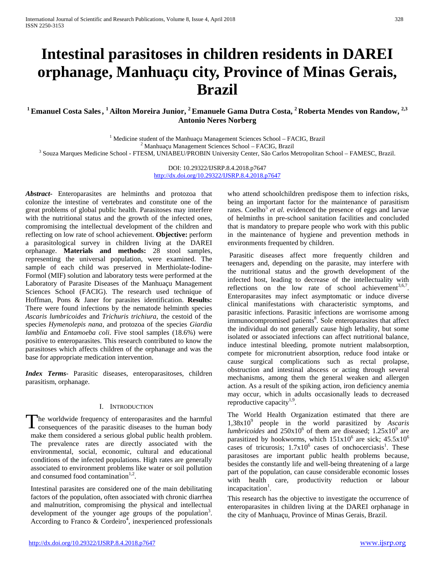# **Intestinal parasitoses in children residents in DAREI orphanage, Manhuaçu city, Province of Minas Gerais, Brazil**

<sup>1</sup> Emanuel Costa Sales, <sup>1</sup> Ailton Moreira Junior, <sup>2</sup> Emanuele Gama Dutra Costa, <sup>2</sup> Roberta Mendes von Randow, <sup>2,3</sup> **Antonio Neres Norberg**

<sup>1</sup> Medicine student of the Manhuaçu Management Sciences School – FACIG, Brazil<br><sup>2</sup> Manhuacu Management Sciences School – FACIG, Brazil<br><sup>3</sup> Souza Marques Medicine School - FTESM, UNIABEU/PROBIN University Center, São Carlo

DOI: 10.29322/IJSRP.8.4.2018.p7647 <http://dx.doi.org/10.29322/IJSRP.8.4.2018.p7647>

*Abstract***-** Enteroparasites are helminths and protozoa that colonize the intestine of vertebrates and constitute one of the great problems of global public health. Parasitoses may interfere with the nutritional status and the growth of the infected ones, compromising the intellectual development of the children and reflecting on low rate of school achievement. **Objective:** perform a parasitological survey in children living at the DAREI orphanage. **Materials and methods:** 28 stool samples, representing the universal population, were examined. The sample of each child was preserved in Merthiolate-Iodine-Formol (MIF) solution and laboratory tests were performed at the Laboratory of Parasite Diseases of the Manhuaçu Management Sciences School (FACIG). The research used technique of Hoffman, Pons & Janer for parasites identification. **Results:** There were found infections by the nematode helminth species *Ascaris lumbricoides* and *Trichuris trichiura*, the cestoid of the species *Hymenolepis nana*, and protozoa of the species *Giardia lamblia* and *Entamoeba coli*. Five stool samples (18.6%) were positive to enteroparasites. This research contributed to know the parasitoses which affects children of the orphanage and was the base for appropriate medication intervention.

*Index Terms*- Parasitic diseases, enteroparasitoses, children parasitism, orphanage.

# I. INTRODUCTION

he worldwide frequency of enteroparasites and the harmful consequences of the parasitic diseases to the human body make them considered a serious global public health problem. The prevalence rates are directly associated with the environmental, social, economic, cultural and educational conditions of the infected populations. High rates are generally associated to environment problems like water or soil pollution and consumed food contamination $1,2$ . T

Intestinal parasites are considered one of the main debilitating factors of the population, often associated with chronic diarrhea and malnutrition, compromising the physical and intellectual development of the younger age groups of the population<sup>3</sup>. According to Franco & Cordeiro<sup>4</sup>, inexperienced professionals who attend schoolchildren predispose them to infection risks, being an important factor for the maintenance of parasitism rates. Coelho<sup>5</sup> *et al.* evidenced the presence of eggs and larvae of helminths in pre-school sanitation facilities and concluded that is mandatory to prepare people who work with this public in the maintenance of hygiene and prevention methods in environments frequented by children.

Parasitic diseases affect more frequently children and teenagers and, depending on the parasite, may interfere with the nutritional status and the growth development of the infected host, leading to decrease of the intellectuality with reflections on the low rate of school achievement<sup>3,6,7</sup>. Enteroparasites may infect asymptomatic or induce diverse clinical manifestations with characteristic symptoms, and parasitic infections. Parasitic infections are worrisome among immunocompromised patients<sup>8</sup>. Sole enteroparasites that affect the individual do not generally cause high lethality, but some isolated or associated infections can affect nutritional balance, induce intestinal bleeding, promote nutrient malabsorption, compete for micronutrient absorption, reduce food intake or cause surgical complications such as rectal prolapse, obstruction and intestinal abscess or acting through several mechanisms, among them the general weaken and allergen action. As a result of the spiking action, iron deficiency anemia may occur, which in adults occasionally leads to decreased reproductive capacity $1,9$ .

The World Health Organization estimated that there are 1,38x10<sup>9</sup> people in the world parasitized by *Ascaris lumbricoides* and  $250x10^6$  of them are diseased;  $1.25x10^9$  are parasitized by hookworms, which  $151x10^6$  are sick;  $45.5x10^6$ cases of tricurosis;  $1.7 \times 10^6$  cases of onchocerciasis<sup>1</sup>. These parasitoses are important public health problems because, besides the constantly life and well-being threatening of a large part of the population, can cause considerable economic losses with health care, productivity reduction or labour incapacitation<sup>1</sup>.

This research has the objective to investigate the occurrence of enteroparasites in children living at the DAREI orphanage in the city of Manhuaçu, Province of Minas Gerais, Brazil.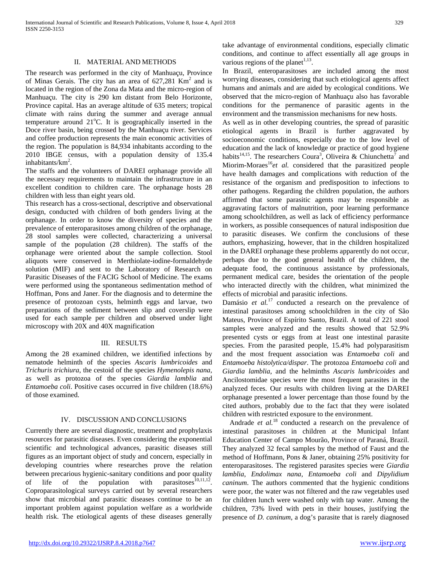# II. MATERIAL AND METHODS

The research was performed in the city of Manhuaçu, Province of Minas Gerais. The city has an area of  $627,281$  Km<sup>2</sup> and is located in the region of the Zona da Mata and the micro-region of Manhuaçu. The city is 290 km distant from Belo Horizonte, Province capital. Has an average altitude of 635 meters; tropical climate with rains during the summer and average annual temperature around 21°C. It is geographically inserted in the Doce river basin, being crossed by the Manhuaçu river. Services and coffee production represents the main economic activities of the region. The population is 84,934 inhabitants according to the 2010 IBGE census, with a population density of 135.4 inhabitants/ $km^2$ .

The staffs and the volunteers of DAREI orphanage provide all the necessary requirements to maintain the infrastructure in an excellent condition to children care. The orphanage hosts 28 children with less than eight years old.

This research has a cross-sectional, descriptive and observational design, conducted with children of both genders living at the orphanage. In order to know the diversity of species and the prevalence of enteroparasitoses among children of the orphanage, 28 stool samples were collected, characterizing a universal sample of the population (28 children). The staffs of the orphanage were oriented about the sample collection. Stool aliquots were conserved in Merthiolate-iodine-formaldehyde solution (MIF) and sent to the Laboratory of Research on Parasitic Diseases of the FACIG School of Medicine. The exams were performed using the spontaneous sedimentation method of Hoffman, Pons and Janer. For the diagnosis and to determine the presence of protozoan cysts, helminth eggs and larvae, two preparations of the sediment between slip and coverslip were used for each sample per children and observed under light microscopy with 20X and 40X magnification

#### III. RESULTS

Among the 28 examined children, we identified infections by nematode helminth of the species *Ascaris lumbricoides* and *Trichuris trichiura*, the cestoid of the species *Hymenolepis nana*, as well as protozoa of the species *Giardia lamblia* and *Entamoeba coli*. Positive cases occurred in five children (18.6%) of those examined.

### IV. DISCUSSION AND CONCLUSIONS

Currently there are several diagnostic, treatment and prophylaxis resources for parasitic diseases. Even considering the exponential scientific and technological advances, parasitic diseases still figures as an important object of study and concern, especially in developing countries where researches prove the relation between precarious hygienic-sanitary conditions and poor quality of life of the population with parasitoses  $\frac{10,11,12}{2}$ . Coproparasitological surveys carried out by several researchers show that microbial and parasitic diseases continue to be an important problem against population welfare as a worldwide health risk. The etiological agents of these diseases generally

take advantage of environmental conditions, especially climatic conditions, and continue to affect essentially all age groups in various regions of the planet<sup> $1,13$ </sup>.

In Brazil, enteroparasitoses are included among the most worrying diseases, considering that such etiological agents affect humans and animals and are aided by ecological conditions. We observed that the micro-region of Manhuaçu also has favorable conditions for the permanence of parasitic agents in the environment and the transmission mechanisms for new hosts.

As well as in other developing countries, the spread of parasitic etiological agents in Brazil is further aggravated by socioeconomic conditions, especially due to the low level of education and the lack of knowledge or practice of good hygiene habits<sup>14,15</sup>. The researchers Coura<sup>3</sup>, Oliveira & Chiunchetta<sup>7</sup> and Miorim-Moraes<sup>16</sup> et al. considered that the parasitized people have health damages and complications with reduction of the resistance of the organism and predisposition to infections to other pathogens. Regarding the children population, the authors affirmed that some parasitic agents may be responsible as aggravating factors of malnutrition, poor learning performance among schoolchildren, as well as lack of efficiency performance in workers, as possible consequences of natural indisposition due to parasitic diseases. We confirm the conclusions of these authors, emphasizing, however, that in the children hospitalized in the DAREI orphanage these problems apparently do not occur, perhaps due to the good general health of the children, the adequate food, the continuous assistance by professionals, permanent medical care, besides the orientation of the people who interacted directly with the children, what minimized the effects of microbial and parasitic infections.

Damásio *et al.*<sup>17</sup> conducted a research on the prevalence of intestinal parasitoses among schoolchildren in the city of São Mateus, Province of Espírito Santo, Brazil. A total of 221 stool samples were analyzed and the results showed that 52.9% presented cysts or eggs from at least one intestinal parasite species. From the parasited people, 15.4% had polyparasitism and the most frequent association was *Entamoeba coli* and *Entamoeba histolytica/dispar*. The protozoa *Entamoeba coli* and *Giardia lamblia*, and the helminths *Ascaris lumbricoides* and Ancilostomidae species were the most frequent parasites in the analyzed feces. Our results with children living at the DAREI orphanage presented a lower percentage than those found by the cited authors, probably due to the fact that they were isolated children with restricted exposure to the environment.

Andrade *et al.*<sup>18</sup> conducted a research on the prevalence of intestinal parasitoses in children at the Municipal Infant Education Center of Campo Mourão, Province of Paraná, Brazil. They analyzed 32 fecal samples by the method of Faust and the method of Hoffmann, Pons & Janer, obtaining 25% positivity for enteroparasitoses. The registered parasites species were *Giardia lamblia*, *Endolimax nana*, *Entamoeba coli* and *Dipylidium caninum*. The authors commented that the hygienic conditions were poor, the water was not filtered and the raw vegetables used for children lunch were washed only with tap water. Among the children, 73% lived with pets in their houses, justifying the presence of *D. caninum*, a dog's parasite that is rarely diagnosed